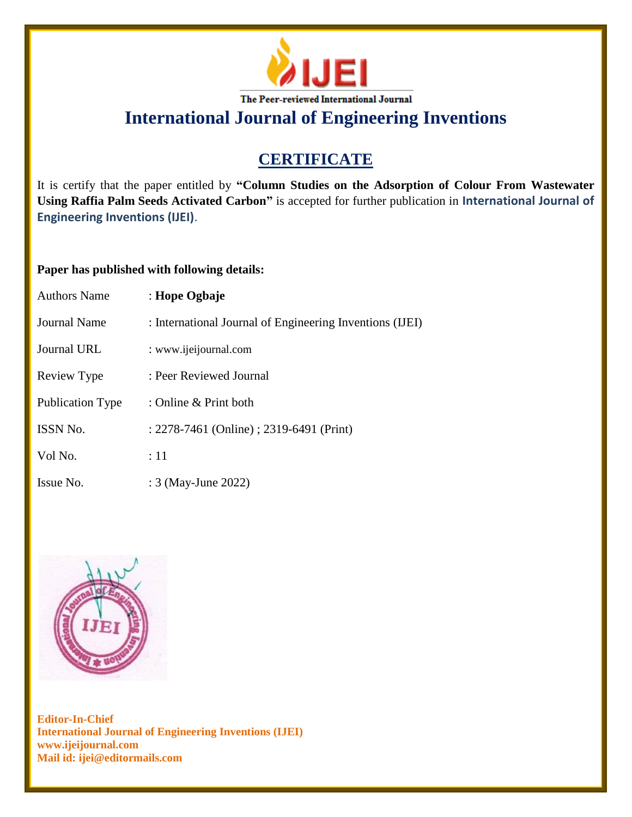

**International Journal of Engineering Inventions**

# **CERTIFICATE**

It is certify that the paper entitled by **"Column Studies on the Adsorption of Colour From Wastewater Using Raffia Palm Seeds Activated Carbon"** is accepted for further publication in **International Journal of Engineering Inventions (IJEI)**.

## **Paper has published with following details:**

| <b>Authors Name</b>     | : Hope Ogbaje                                            |
|-------------------------|----------------------------------------------------------|
| Journal Name            | : International Journal of Engineering Inventions (IJEI) |
| <b>Journal URL</b>      | : www.ijeijournal.com                                    |
| Review Type             | : Peer Reviewed Journal                                  |
| <b>Publication Type</b> | : Online & Print both                                    |
| <b>ISSN No.</b>         | : 2278-7461 (Online) ; 2319-6491 (Print)                 |
| Vol No.                 | :11                                                      |
| Issue No.               | : 3 (May-June 2022)                                      |



**Editor-In-Chief International Journal of Engineering Inventions (IJEI) www.ijeijournal.com Mail id: ijei@editormails.com**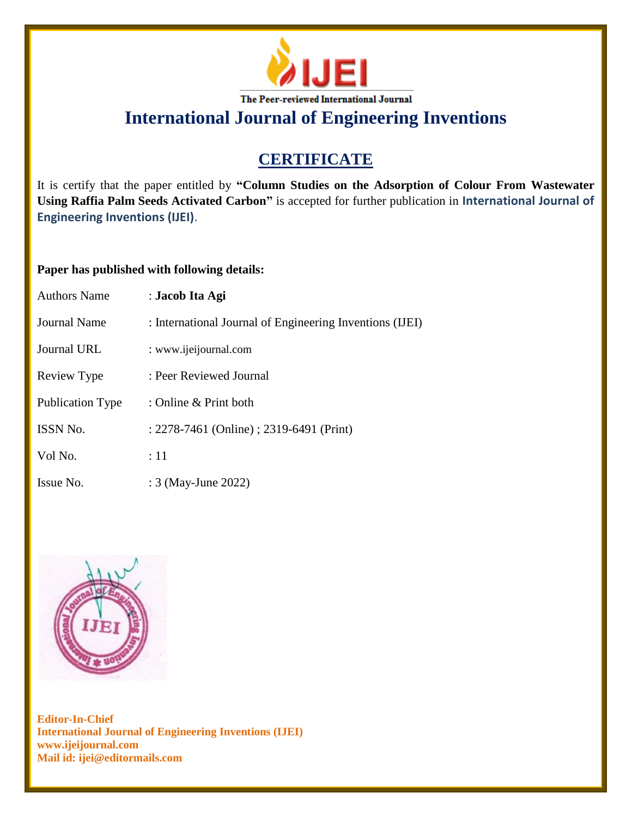

**International Journal of Engineering Inventions**

# **CERTIFICATE**

It is certify that the paper entitled by **"Column Studies on the Adsorption of Colour From Wastewater Using Raffia Palm Seeds Activated Carbon"** is accepted for further publication in **International Journal of Engineering Inventions (IJEI)**.

### **Paper has published with following details:**

| <b>Authors Name</b>     | : Jacob Ita Agi                                          |
|-------------------------|----------------------------------------------------------|
| Journal Name            | : International Journal of Engineering Inventions (IJEI) |
| Journal URL             | : www.ijeijournal.com                                    |
| Review Type             | : Peer Reviewed Journal                                  |
| <b>Publication Type</b> | : Online $&$ Print both                                  |
| <b>ISSN No.</b>         | : 2278-7461 (Online) ; 2319-6491 (Print)                 |
| Vol No.                 | :11                                                      |
| Issue No.               | : 3 (May-June 2022)                                      |



**Editor-In-Chief International Journal of Engineering Inventions (IJEI) www.ijeijournal.com Mail id: ijei@editormails.com**